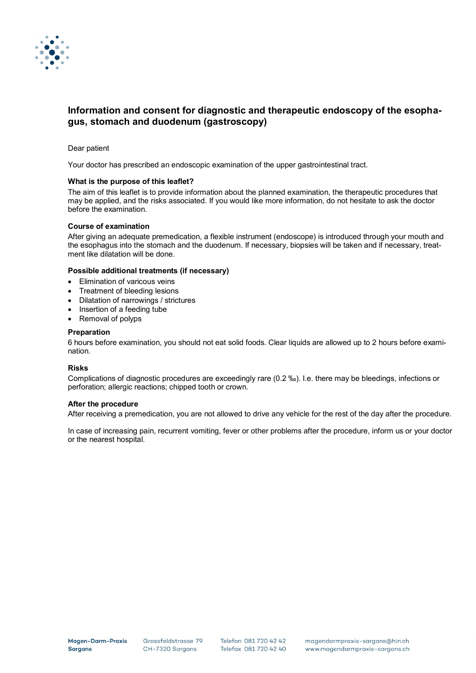

# **Information and consent for diagnostic and therapeutic endoscopy of the esophagus, stomach and duodenum (gastroscopy)**

# Dear patient

Your doctor has prescribed an endoscopic examination of the upper gastrointestinal tract.

# **What is the purpose of this leaflet?**

The aim of this leaflet is to provide information about the planned examination, the therapeutic procedures that may be applied, and the risks associated. If you would like more information, do not hesitate to ask the doctor before the examination.

## **Course of examination**

After giving an adequate premedication, a flexible instrument (endoscope) is introduced through your mouth and the esophagus into the stomach and the duodenum. If necessary, biopsies will be taken and if necessary, treatment like dilatation will be done.

## **Possible additional treatments (if necessary)**

- Elimination of varicous veins
- Treatment of bleeding lesions
- Dilatation of narrowings / strictures
- Insertion of a feeding tube
- Removal of polyps

## **Preparation**

6 hours before examination, you should not eat solid foods. Clear liquids are allowed up to 2 hours before examination.

#### **Risks**

Complications of diagnostic procedures are exceedingly rare (0.2 ‰). I.e. there may be bleedings, infections or perforation; allergic reactions; chipped tooth or crown.

#### **After the procedure**

After receiving a premedication, you are not allowed to drive any vehicle for the rest of the day after the procedure.

In case of increasing pain, recurrent vomiting, fever or other problems after the procedure, inform us or your doctor or the nearest hospital.